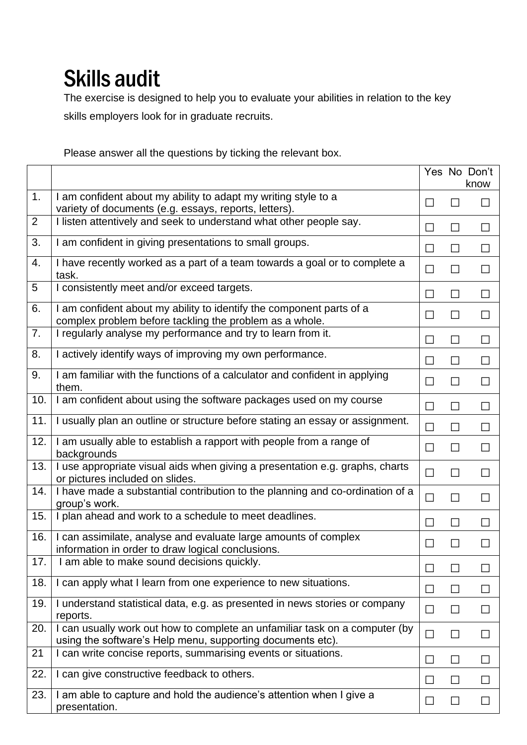## Skills audit

The exercise is designed to help you to evaluate your abilities in relation to the key skills employers look for in graduate recruits.

Please answer all the questions by ticking the relevant box.

|                |                                                                                                                                           |                |                 | Yes No Don't<br>know |
|----------------|-------------------------------------------------------------------------------------------------------------------------------------------|----------------|-----------------|----------------------|
| 1.             | I am confident about my ability to adapt my writing style to a<br>variety of documents (e.g. essays, reports, letters).                   | $\mathsf{L}$   | $\mathsf{L}$    |                      |
| $\overline{2}$ | I listen attentively and seek to understand what other people say.                                                                        | $\Box$         | П               | $\Box$               |
| 3.             | I am confident in giving presentations to small groups.                                                                                   | $\mathsf{L}$   | $\Box$          | $\Box$               |
| 4.             | I have recently worked as a part of a team towards a goal or to complete a<br>task.                                                       | ப              | □               | $\Box$               |
| 5              | I consistently meet and/or exceed targets.                                                                                                | $\mathsf{L}$   | □               | $\Box$               |
| 6.             | I am confident about my ability to identify the component parts of a<br>complex problem before tackling the problem as a whole.           | $\perp$        | $\Box$          |                      |
| 7.             | I regularly analyse my performance and try to learn from it.                                                                              |                | П               | $\mathsf{L}$         |
| 8.             | I actively identify ways of improving my own performance.                                                                                 | П              | П               | $\Box$               |
| 9.             | I am familiar with the functions of a calculator and confident in applying<br>them.                                                       | $\perp$        | $\Box$          | ப                    |
| 10.            | I am confident about using the software packages used on my course                                                                        | П              | $\Box$          | $\Box$               |
| 11.            | I usually plan an outline or structure before stating an essay or assignment.                                                             | $\Box$         | $\Box$          | $\Box$               |
| 12.            | I am usually able to establish a rapport with people from a range of<br>backgrounds                                                       | ⊔              | □               | $\perp$              |
| 13.            | I use appropriate visual aids when giving a presentation e.g. graphs, charts<br>or pictures included on slides.                           | □              | $\Box$          |                      |
| 14.            | I have made a substantial contribution to the planning and co-ordination of a<br>group's work.                                            | $\Box$         | ⊔               | ⊔                    |
| 15.            | I plan ahead and work to a schedule to meet deadlines.                                                                                    | $\mathsf{L}$   | $\Box$          | $\Box$               |
| 16.            | I can assimilate, analyse and evaluate large amounts of complex<br>information in order to draw logical conclusions.                      | $\Box$         | □               |                      |
| 17.            | I am able to make sound decisions quickly.                                                                                                |                |                 |                      |
| 18.            | I can apply what I learn from one experience to new situations.                                                                           |                | <b>Contract</b> |                      |
| 19.            | I understand statistical data, e.g. as presented in news stories or company<br>reports.                                                   | ⊔              | $\mathsf{L}$    | $\mathsf{L}$         |
| 20.            | I can usually work out how to complete an unfamiliar task on a computer (by<br>using the software's Help menu, supporting documents etc). | $\Box$         | $\Box$          |                      |
| 21             | I can write concise reports, summarising events or situations.                                                                            | $\mathsf{L}$   | ⊔               |                      |
| 22.            | I can give constructive feedback to others.                                                                                               |                | П               |                      |
| 23.            | I am able to capture and hold the audience's attention when I give a<br>presentation.                                                     | $\mathbb{R}^n$ | $\Box$          |                      |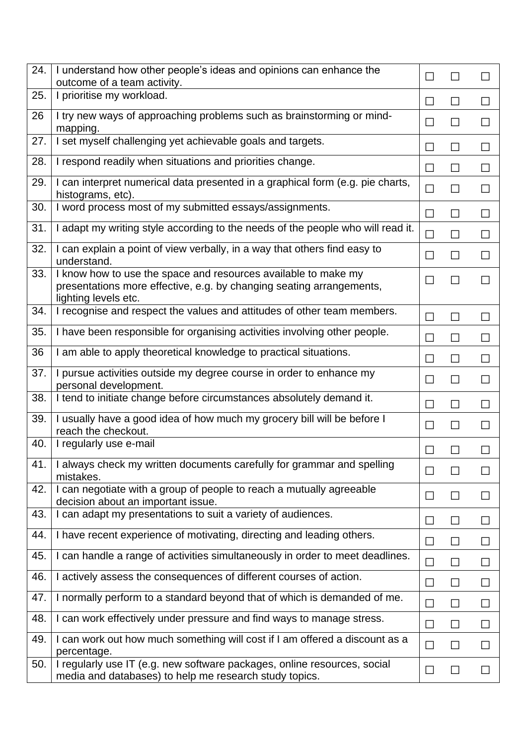| 24. | I understand how other people's ideas and opinions can enhance the<br>outcome of a team activity.                                                              | $\Box$ | $\overline{\phantom{a}}$    |               |
|-----|----------------------------------------------------------------------------------------------------------------------------------------------------------------|--------|-----------------------------|---------------|
| 25. | I prioritise my workload.                                                                                                                                      | $\Box$ | $\perp$                     | $\perp$       |
| 26  | I try new ways of approaching problems such as brainstorming or mind-<br>mapping.                                                                              | $\Box$ | $\Box$                      | П             |
| 27. | I set myself challenging yet achievable goals and targets.                                                                                                     | $\Box$ | $\Box$                      | $\Box$        |
| 28. | I respond readily when situations and priorities change.                                                                                                       | $\Box$ | $\Box$                      | $\Box$        |
| 29. | I can interpret numerical data presented in a graphical form (e.g. pie charts,<br>histograms, etc).                                                            | $\Box$ | $\Box$                      | $\Box$        |
| 30. | I word process most of my submitted essays/assignments.                                                                                                        | $\Box$ | $\Box$                      | $\Box$        |
| 31. | I adapt my writing style according to the needs of the people who will read it.                                                                                | $\Box$ | $\Box$                      | $\Box$        |
| 32. | I can explain a point of view verbally, in a way that others find easy to<br>understand.                                                                       | $\Box$ | $\Box$                      | $\Box$        |
| 33. | I know how to use the space and resources available to make my<br>presentations more effective, e.g. by changing seating arrangements,<br>lighting levels etc. | $\Box$ | $\Box$                      | $\mathsf{L}$  |
| 34. | I recognise and respect the values and attitudes of other team members.                                                                                        | $\Box$ | $\Box$                      | $\Box$        |
| 35. | I have been responsible for organising activities involving other people.                                                                                      | $\Box$ | □                           | $\Box$        |
| 36  | I am able to apply theoretical knowledge to practical situations.                                                                                              | $\Box$ | $\Box$                      | $\Box$        |
| 37. | I pursue activities outside my degree course in order to enhance my<br>personal development.                                                                   | $\Box$ | $\Box$                      | $\Box$        |
| 38. | I tend to initiate change before circumstances absolutely demand it.                                                                                           | $\Box$ | $\Box$                      | $\Box$        |
| 39. | I usually have a good idea of how much my grocery bill will be before I<br>reach the checkout.                                                                 | $\Box$ | $\Box$                      | П             |
| 40. | I regularly use e-mail                                                                                                                                         | $\Box$ | $\Box$                      | $\mathsf{I}$  |
| 41. | I always check my written documents carefully for grammar and spelling<br>mistakes.                                                                            | $\Box$ | $\Box$                      | $\Box$        |
| 42. | I can negotiate with a group of people to reach a mutually agreeable<br>decision about an important issue.                                                     | $\Box$ | $\Box$                      | $\Box$        |
| 43. | I can adapt my presentations to suit a variety of audiences.                                                                                                   | $\Box$ | $\Box$                      | $\mathcal{L}$ |
| 44. | I have recent experience of motivating, directing and leading others.                                                                                          | $\Box$ | $\Box$                      | $\Box$        |
| 45. | I can handle a range of activities simultaneously in order to meet deadlines.                                                                                  | $\Box$ | $\mathcal{L}_{\mathcal{A}}$ | $\Box$        |
| 46. | I actively assess the consequences of different courses of action.                                                                                             | $\Box$ | $\Box$                      | $\Box$        |
| 47. | I normally perform to a standard beyond that of which is demanded of me.                                                                                       | □      | □                           | $\Box$        |
| 48. | I can work effectively under pressure and find ways to manage stress.                                                                                          | $\Box$ | $\Box$                      | $\Box$        |
| 49. | I can work out how much something will cost if I am offered a discount as a<br>percentage.                                                                     | $\Box$ | $\Box$                      | $\Box$        |
| 50. | I regularly use IT (e.g. new software packages, online resources, social<br>media and databases) to help me research study topics.                             | $\Box$ | $\Box$                      | $\Box$        |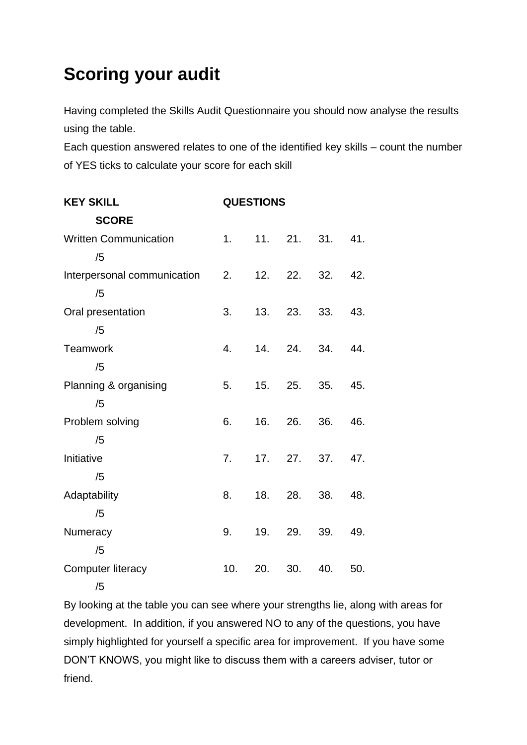## **Scoring your audit**

Having completed the Skills Audit Questionnaire you should now analyse the results using the table.

Each question answered relates to one of the identified key skills – count the number of YES ticks to calculate your score for each skill

| <b>KEY SKILL</b>             | <b>QUESTIONS</b> |     |         |             |     |
|------------------------------|------------------|-----|---------|-------------|-----|
| <b>SCORE</b>                 |                  |     |         |             |     |
| <b>Written Communication</b> | 1.               |     |         | 11. 21. 31. | 41. |
| /5                           |                  |     |         |             |     |
| Interpersonal communication  | 2.               |     | 12. 22. | 32.         | 42. |
| /5                           |                  |     |         |             |     |
| Oral presentation            | 3.               | 13. | 23.     | 33.         | 43. |
| /5                           |                  |     |         |             |     |
| <b>Teamwork</b>              | 4.               |     | 14. 24. | 34.         | 44. |
| /5                           |                  |     |         |             |     |
| Planning & organising        | 5.               | 15. | 25.     | 35.         | 45. |
| /5                           |                  |     |         |             |     |
| Problem solving              | 6.               |     | 16. 26. | 36.         | 46. |
| /5                           |                  |     |         |             |     |
| Initiative                   | 7.               | 17. | 27.     | 37.         | 47. |
| /5                           |                  |     |         |             |     |
| Adaptability                 | 8.               | 18. | 28.     | 38.         | 48. |
| /5                           |                  |     |         |             |     |
| Numeracy                     | 9.               | 19. | 29.     | 39.         | 49. |
| /5                           |                  |     |         |             |     |
| Computer literacy            | 10.              | 20. | 30.     | 40.         | 50. |
| /5                           |                  |     |         |             |     |

By looking at the table you can see where your strengths lie, along with areas for development. In addition, if you answered NO to any of the questions, you have simply highlighted for yourself a specific area for improvement. If you have some DON'T KNOWS, you might like to discuss them with a careers adviser, tutor or friend.